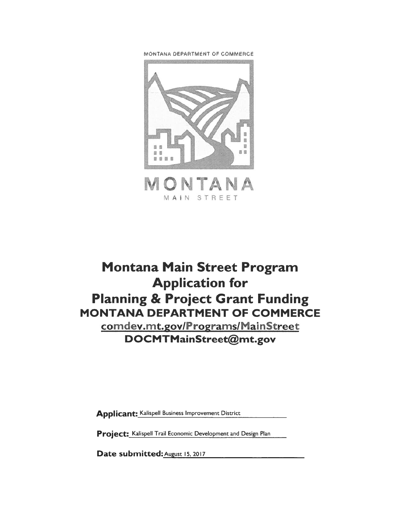MONTANA DEPARTMENT OF COMMERCE



# Montana Main Street Program Application for Planning & Project Grant Funding MONTANA DEPARTMENT OF COMMERCE comdev.mt.gov/Programs/MainStreet DOCMTMainStreet@mt.gov

Applicant: Kalispell Business Improvement District

Project: Kalispell Trail Economic Development and Design Plan

Date submitted: August 15, 2017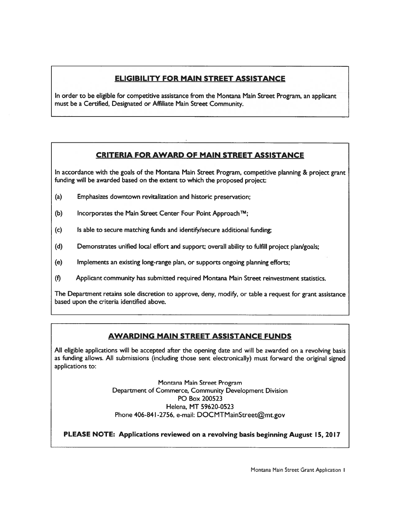# ELIGIBILITY FOR MAIN STREET ASSISTANCE

In order to be eligible for competitive assistance from the Montana Main Street Program, an applicant must be <sup>a</sup> Certified, Designated or Affiliate Main Street Community.

# CRITERIA FOR AWARD OF MAIN STREET ASSISTANCE

In accordance with the goals of the Montana Main Street Program, competitive <sup>p</sup>lanning & project gran<sup>t</sup> funding will be awarded based on the extent to which the proposed project

- (a) Emphasizes downtown revitalization and historic preservation;
- (b) Incorporates the Main Street Center Four Point Approach  $\mathbb{M}$ ;
- (c) Is able to secure matching funds and identify/secure additional funding;
- (d) Demonstrates unified local effort and support; overall ability to fulfill project plan/goals;
- (e) Implements an existing long-range plan, or supports ongoing planning efforts;
- (f) Applicant community has submitted required Montana Main Street reinvestment statistics.

The Department retains sole discretion to approve, deny, modify, or table <sup>a</sup> reques<sup>t</sup> for gran<sup>t</sup> assistance based upon the criteria identified above.

# AWARDING MAIN STREET ASSISTANCE FUNDS

All eligible applications will be accepted after the opening date and will be awarded on <sup>a</sup> revolving basis as funding allows. All submissions (including those sent electronically) must forward the original signed applications to:

> Montana Main Street Program Department of Commerce, Community Development Division PC Box 200523 Helena, MT 59620-0523 Phone 406-841-2756, e-mail: DOCMTMainStreet@mt.gov

PLEASE NOTE: Applications reviewed on <sup>a</sup> revolving basis beginning August 15, 2017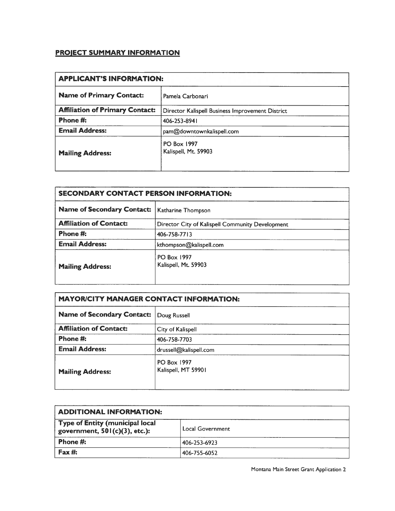# PROJECT SUMMARY INFORMATION

| <b>APPLICANT'S INFORMATION:</b>        |                                                  |
|----------------------------------------|--------------------------------------------------|
| <b>Name of Primary Contact:</b>        | Pamela Carbonari                                 |
| <b>Affiliation of Primary Contact:</b> | Director Kalispell Business Improvement District |
| Phone #:                               | 406-253-8941                                     |
| <b>Email Address:</b>                  | pam@downtownkalispell.com                        |
| <b>Mailing Address:</b>                | <b>PO Box 1997</b><br>Kalispell, Mt. 59903       |

| <b>SECONDARY CONTACT PERSON INFORMATION:</b> |                                                  |  |
|----------------------------------------------|--------------------------------------------------|--|
| <b>Name of Secondary Contact:</b>            | Katharine Thompson                               |  |
| <b>Affiliation of Contact:</b>               | Director City of Kalispell Community Development |  |
| Phone #:                                     | 406-758-7713                                     |  |
| <b>Email Address:</b>                        | kthompson@kalispell.com                          |  |
| <b>Mailing Address:</b>                      | <b>PO Box 1997</b><br>Kalispell, Mt. 59903       |  |

| <b>MAYOR/CITY MANAGER CONTACT INFORMATION:</b> |                                    |  |
|------------------------------------------------|------------------------------------|--|
| <b>Name of Secondary Contact:</b>              | Doug Russell                       |  |
| <b>Affiliation of Contact:</b>                 | City of Kalispell                  |  |
| Phone #:                                       | 406-758-7703                       |  |
| <b>Email Address:</b>                          | drussell@kalispell.com             |  |
| <b>Mailing Address:</b>                        | PO Box 1997<br>Kalispell, MT 59901 |  |

| <b>ADDITIONAL INFORMATION:</b>                                      |                  |
|---------------------------------------------------------------------|------------------|
| Type of Entity (municipal local<br>government, $501(c)(3)$ , etc.): | Local Government |
| Phone #:                                                            | 406-253-6923     |
| Fax #:                                                              | 406-755-6052     |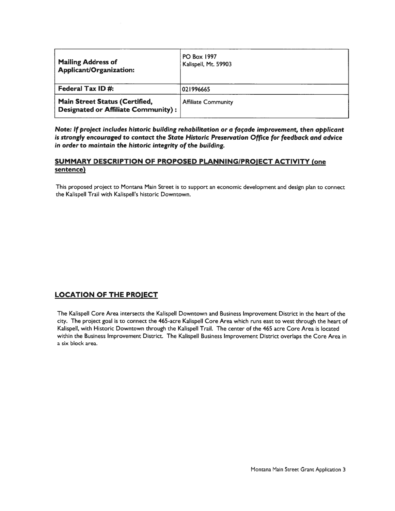| <b>Mailing Address of</b><br>Applicant/Organization:                                | <b>PO Box 1997</b><br>Kalispell, Mt. 59903 |
|-------------------------------------------------------------------------------------|--------------------------------------------|
| Federal Tax ID#:                                                                    | 021996665                                  |
| <b>Main Street Status (Certified,</b><br><b>Designated or Affiliate Community):</b> | <b>Affiliate Community</b>                 |

Note: If project includes historic building rehabilitation or <sup>a</sup> façade improvement, then applicant is strongly encouraged to contact the State Historic Preservation Office for feedback and advice in order to maintain the historic integrity of the building.

### SUMMARY DESCRIPTION OF PROPOSED PLANNING/PROJECT ACTIVITY (one sentence)

This proposed project to Montana Main Street is to suppor<sup>t</sup> an economic development and design plan to connect the Kalispell Trail with Kalispell's historic Downtown.

# LOCATION OF THE PROJECT

The Kalispell Core Area intersects the Kalispell Downtown and Business Improvement District in the heart of the city. The project goal is to connect the 465-acre Kalispell Core Area which runs east to west through the heart of Kalispell, with Historic Downtown through the Kalispell Trail. The center of the 465 acre Core Area is located within the Business Improvement District. The Kalispell Business Improvement District overlaps the Core Area in <sup>a</sup> six block area.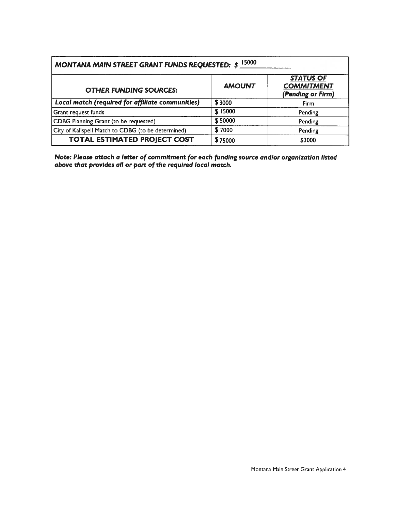| 15000<br><b>MONTANA MAIN STREET GRANT FUNDS REQUESTED: \$</b> |               |                                                            |
|---------------------------------------------------------------|---------------|------------------------------------------------------------|
| <b>OTHER FUNDING SOURCES:</b>                                 | <b>AMOUNT</b> | <b>STATUS OF</b><br><b>COMMITMENT</b><br>(Pending or Firm) |
| Local match (required for affiliate communities)              | \$3000        | Firm                                                       |
| Grant request funds                                           | \$15000       | Pending                                                    |
| CDBG Planning Grant (to be requested)                         | \$50000       | Pending                                                    |
| City of Kalispell Match to CDBG (to be determined)            | \$7000        | Pending                                                    |
| <b>TOTAL ESTIMATED PROJECT COST</b>                           | \$75000       | \$3000                                                     |

Note: Please attach <sup>a</sup> letter of commitment for each funding source and/or organization listed above that provides all or part of the required local match.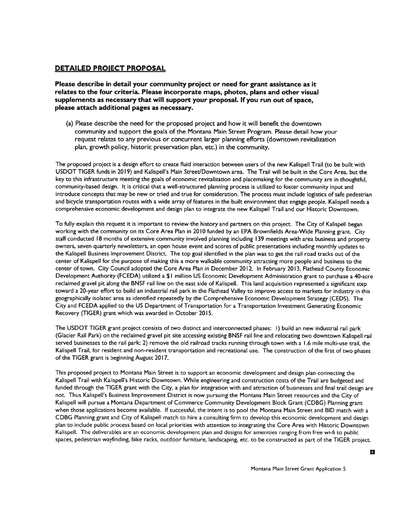### DETAILED PROJECT PROPOSAL

Please describe in detail your community project or need for gran<sup>t</sup> assistance as it relates to the four criteria. Please incorporate maps, photos, plans and other visual supplements as necessary that will suppor<sup>t</sup> your proposal. If you run out of space, please attach additional pages as necessary.

(a) Please describe the need for the proposed project and how it will benefit the downtown community and suppor<sup>t</sup> the goals of the Montana Main Street Program. Please detail how your reques<sup>t</sup> relates to any previous or concurrent larger planning efforts (downtown revitalization <sup>p</sup>lan, growth policy, historic preservation <sup>p</sup>lan, etc.) in the community.

The proposed project is <sup>a</sup> design effort to create fluid interaction between users of the new Kalispell Trail (to be built with USDOT TIGER funds in 2019) and Kalispell's Main Street/Downtown area. The Trail will be built in the Core Area, but the key to this infrastructure meeting the goals of economic revitalization and <sup>p</sup>lacemaking for the community are in thoughtful, community-based design. It is critical that <sup>a</sup> well-structured <sup>p</sup>lanning process is utilized to foster community input and introduce concepts that may be new or tried and true for consideration. The process must include logistics of safe pedestrian and bicycle transportation routes with <sup>a</sup> wide array of features in the built environment that engage people. Kalispell needs <sup>a</sup> comprehensive economic development and design plan to integrate the new Kalispell Trail and our Historic Downtown.

To fully explain this reques<sup>t</sup> it is important to review the history and partners on this project. The City of Kalispell began working with the community on its Core Area Plan in <sup>2010</sup> funded by an EPA Brownfields Area-Wide Planning grant. City staff conducted <sup>18</sup> months of extensive community involved <sup>p</sup>lanning including <sup>139</sup> meetings with area business and property owners, seven quarterly newsletters, an open house event and scores of public presentations including monthly updates to the Kalispell Business Improvement District. The top goal identified in the plan was to ge<sup>t</sup> the rail road tracks out of the center of Kalispell for the purpose of making this <sup>a</sup> more walkable community attracting more people and business to the center of town. City Council adopted the Core Area Plan in December 2012. In February 2013, Flathead County Economic Development Authority (FCEDA) utilized <sup>a</sup> \$1 million US Economic Development Administration gran<sup>t</sup> to purchase <sup>a</sup> 40-acre reclaimed grave<sup>l</sup> <sup>p</sup>it along the BNSF rail line on the east side of Kalispell. This land acquisition represented <sup>a</sup> significant step toward <sup>a</sup> 20-year effort to build an industrial rail par<sup>k</sup> in the Flathead Valley to improve access to markets for industry in this geographically isolated area as identified repeatedly by the Comprehensive Economic Development Strategy (CEDS). The City and FCEDA applied to the US Department of Transportation for <sup>a</sup> Transportation Investment Generating Economic Recovery (TIGER) gran<sup>t</sup> which was awarded in October 2015.

The USDOT TIGER gran<sup>t</sup> project consists of two distinct and interconnected <sup>p</sup>hases: I) build an new industrial rail par<sup>k</sup> (Glacier Rail Park) on the reclaimed grave<sup>l</sup> <sup>p</sup>it site accessing existing BNSF rail line and relocating two downtown Kalispell rail served businesses to the rail park; 2) remove the old railroad tracks running through town with <sup>a</sup> 1.6 mile multi-use trail, the Kalispell Trail, for resident and non-resident transportation and recreational use. The construction of the first of two <sup>p</sup>hases of the TIGER gran<sup>t</sup> is beginning August 2017.

This proposed project to Montana Main Street is to suppor<sup>t</sup> an economic development and design <sup>p</sup>lan connecting the Kalispell Trail with Kalispell's Historic Downtown. While engineering and construction costs of the Trail are budgeted and funded through the TIGER grant with the City, a plan for integration with and attraction of businesses and final trail design are not. Thus Kalispell's Business Improvement District is now pursuing the Montana Main Street resources and the City of Kalispell will pursue <sup>a</sup> Montana Department of Commerce Community Development Block Grant (CDBG) Planning gran<sup>t</sup> when those applications become available. If successful, the intent is to pool the Montana Main Street and BID match with <sup>a</sup> CDBG Planning gran<sup>t</sup> and City of Kalispell match to hire <sup>a</sup> consulting firm to develop this economic development and design plan to include public process based on local priorities with attention to integrating the Core Area with Historic Downtown Kalispell. The deliverables are an economic development plan and designs for amenities ranging from free wi-fi to public spaces, pedestrian wayfinding, bike racks, outdoor furniture, landscaping, etc. to be constructed as par<sup>t</sup> of the TIGER project.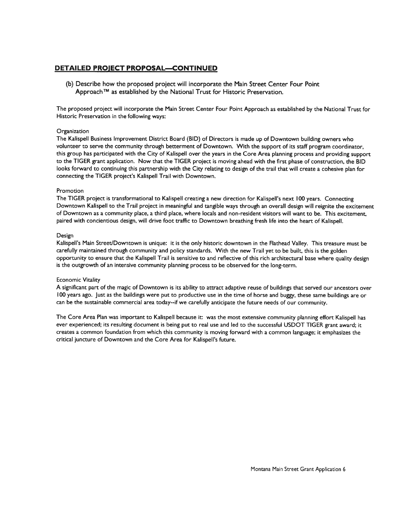### DETAILED PROJECT PROPOSAL—CONTINUED

(b) Describe how the proposed project will incorporate the Main Street Center Four Point Approach<sup>™</sup> as established by the National Trust for Historic Preservation.

The proposed project will incorporate the Main Street Center Four Point Approach as established by the National Trust for Historic Preservation in the following ways:

#### **Organization**

The Kalispell Business Improvement District Board (BID) of Directors is made up of Downtown building owners who volunteer to serve the community through betterment of Downtown. With the suppor<sup>t</sup> of its staff program coordinator, this group has participated with the City of Kalispell over the years in the Core Area <sup>p</sup>lanning process and providing suppor<sup>t</sup> to the TIGER gran<sup>t</sup> application. Now that the TIGER project is moving ahead with the first phase of construction, the BID looks forward to continuing this partnership with the City relating to design of the trail that will create <sup>a</sup> cohesive <sup>p</sup>lan for connecting the TIGER project's Kalispell Trail with Downtown.

#### Promotion

The TIGER project is transformational to Kalispell creating <sup>a</sup> new direction for Kalispell's next 100 years. Connecting Downtown Kalispell to the Trail project in meaningful and tangible ways through an overall design will reignite the excitement of Downtown as <sup>a</sup> community place, <sup>a</sup> third place, where locals and non-resident visitors will want to be. This excitement, paired with concientious design, will drive foot traffic to Downtown breathing fresh life into the heart of Kalispell.

#### Design

Kalispell's Main Street/Downtown is unique: it is the only historic downtown in the Flathead Valley. This treasure must be carefully maintained through community and policy standards. With the new Trail ye<sup>t</sup> to be built, this is the golden opportunity to ensure that the Kalispell Trail is sensitive to and reflective of this rich architectural base where quality design is the outgrowth of an intensive community planning process to be observed for the long-term.

#### Economic Vitality

A significant par<sup>t</sup> of the magic of Downtown is its ability to attract adaptive reuse of buildings that served our ancestors over 100 years ago. Just as the buildings were pu<sup>t</sup> to productive use in the time of horse and buggy, these same buildings are or can be the sustainable commercial area today--if we carefully anticipate the future needs of our community.

The Core Area Plan was important to Kalispell because it: was the most extensive community <sup>p</sup>lanning effort Kalispell has ever experienced; its resulting document is being pu<sup>t</sup> to real use and led to the successful USDOT TIGER gran<sup>t</sup> award; it creates <sup>a</sup> common foundation from which this community is moving forward with <sup>a</sup> common language; it emphasizes the critical juncture of Downtown and the Core Area for Kalispell's future.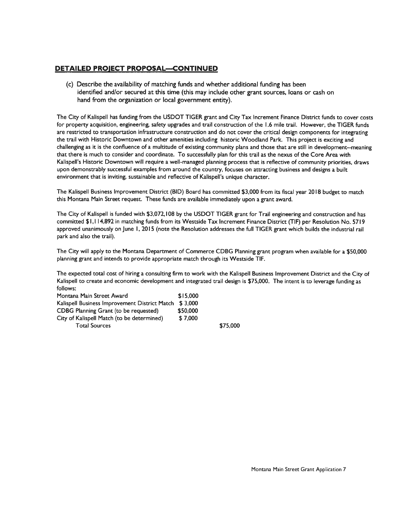### DETAILED PROJECT PROPOSAL—CONTINUED

(c) Describe the availability of matching funds and whether additional funding has been identified and/or secured at this time (this may include other gran<sup>t</sup> sources, loans or cash on hand from the organization or local governmen<sup>t</sup> entity).

The City of Kalispell has funding from the USDOT TIGER gran<sup>t</sup> and City Tax Increment Finance District funds to cover costs for property acquisition, engineering, safety upgrades and trail construction of the 1.6 mile trail. However, the TIGER funds are restricted to transportation infrastructure construction and do not cover the critical design components for integrating the trail with Historic Downtown and other amenities including historic Woodland Park. This project is exciting and challenging as it is the confluence of <sup>a</sup> multitude of existing community <sup>p</sup>lans and those that are still in development--meaning that there is much to consider and coordinate. To successfully plan for this trail as the nexus of the Core Area with Kalispell's Historic Downtown will require <sup>a</sup> well-managed planning process that is reflective of community priorities, draws upon demonstrably successful examples from around the country, focuses on attracting business and designs <sup>a</sup> built environment that is inviting, sustainable and reflective of Kalispell's unique character.

The Kalispell Business Improvement District (BID) Board has committed \$3,000 from its fiscal year 2018 budget to match this Montana Main Street request. These funds are available immediately upon <sup>a</sup> gran<sup>t</sup> award.

The City of Kalispell is funded with \$3,072,108 by the USDOT TIGER gran<sup>t</sup> for Trail engineering and construction and has committed \$1,114,892 in matching funds from its Westside Tax Increment Finance District (TIF) per Resolution No. 5719 approved unanimously on June 1, 2015 (note the Resolution addresses the full TIGER gran<sup>t</sup> which builds the industrial rail park and also the trail).

The City will apply to the Montana Department of Commerce CDBG Planning gran<sup>t</sup> program when available for <sup>a</sup> \$50,000 planning gran<sup>t</sup> and intends to provide appropriate match through its Westside TIF.

The expected total cost of hiring <sup>a</sup> consulting firm to work with the Kalispell Business Improvement District and the City of Kalispell to create and economic development and integrated trail design is \$75,000. The intent is to leverage funding as follows:

| Montana Main Street Award                     | \$15,000 |  |
|-----------------------------------------------|----------|--|
| Kalispell Business Improvement District Match | \$3.000  |  |
| CDBG Planning Grant (to be requested)         | \$50,000 |  |
| City of Kalispell Match (to be determined)    | \$7,000  |  |
| <b>Total Sources</b>                          |          |  |

\$75,000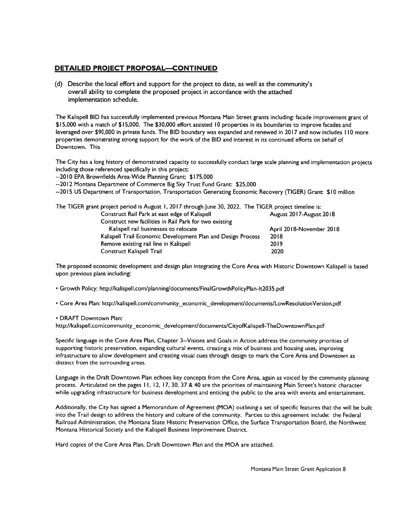### DETAILED PROJECT PROPOSAL—CONTINUED

(d) Describe the local effort and suppor<sup>t</sup> for the project to date, as well as the community's overall ability to complete the proposed project in accordance with the attached implementation schedule.

The Kalispell BID has successfully implemented previous Montana Main Street grants including: facade improvement gran<sup>t</sup> of \$15,000 with <sup>a</sup> match of \$15,000. The \$30,000 effort assisted <sup>10</sup> properties in its boundaries to improve facades and leveraged over \$90,000 in private funds. The BID boundary was expanded and renewed in 2017 and now includes 110 more properties demonstrating strong suppor<sup>t</sup> for the work of the BID and interest in its continued efforts on behalf of Downtown. This

The City has <sup>a</sup> long history of demonstrated capacity to successfully conduct large scale planning and implementation projects including those referenced specifically in this project:

--2010 EPA Brownfields Area-Wide Planning Grant: \$175,000

--2012 Montana Department of Commerce Big Sky Trust Fund Grant: \$25,000

--2015 US Department of Transportation, Transportation Generating Economic Recovery (TIGER) Grant: \$10 million

| The TIGER grant project period is August 1, 2017 through June 30, 2022. The TIGER project timeline is: |                          |
|--------------------------------------------------------------------------------------------------------|--------------------------|
| Construct Rail Park at east edge of Kalispell                                                          | August 2017-August 2018  |
| Construct new facilities in Rail Park for two existing                                                 |                          |
| Kalispell rail businesses to relocate                                                                  | April 2018-November 2018 |
| Kalispell Trail Economic Development Plan and Design Process                                           | 2018                     |
| Remove existing rail line in Kalispell                                                                 | 2019                     |
| <b>Construct Kalispell Trail</b>                                                                       | 2020                     |

The proposed economic development and design plan integrating the Core Area with Historic Downtown Kalispell is based upon previous plans including:

• Growth Policy: http://kalispell.com/planning/documents/FinalGrowthPolicyPlan-1t2035.pdf

• Core Area Plan: http://kalispell.com/community\_economic\_developmentldocuments/LowResolutionVersion.pdf

• DRAFT Downtown Plan:

http://kalispell.com/community\_economic\_development/documents/CityofKalispell-TheDowntownPlan.pdf

Specific language in the Core Area Plan, Chapter 3--Visions and Goals in Action address the community priorities of supporting historic preservation, expanding cultural events, creating <sup>a</sup> mix of business and housing uses, improving infrastructure to allow development and creating visual cues through design to mark the Core Area and Downtown as distinct from the surrounding areas.

Language in the Draft Downtown Plan echoes key concepts from the Core Area, again as voiced by the community <sup>p</sup>lanning process. Articulated on the pages 11, 12, 17, 30, 37 & 40 are the priorities of maintaining Main Street's historic character while upgrading infrastructure for business development and enticing the public to the area with events and entertainment.

Additionally, the City has signed <sup>a</sup> Memorandum of Agreement (MOA) outlining <sup>a</sup> set of specific features that the will be built into the Trail design to address the history and culture of the community. Parties to this agreemen<sup>t</sup> include: the Federal Railroad Administration, the Montana State Historic Preservation Office, the Surface Transportation Board, the Northwest Montana Historical Society and the Kalispell Business Improvement District.

Hard copies of the Core Area Plan, Draft Downtown Plan and the MOA are attached.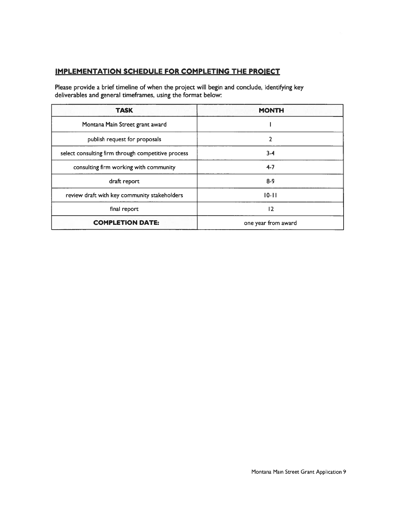# IMPLEMENTATION SCHEDULE FOR COMPLETING THE PROJECT

Please provide <sup>a</sup> brief timeline of when the project will begin and conclude, identifying key deliverables and general timeframes, using the format below:

| <b>TASK</b>                                        | <b>MONTH</b>        |
|----------------------------------------------------|---------------------|
| Montana Main Street grant award                    |                     |
| publish request for proposals                      | 2                   |
| select consulting firm through competitive process | $3-4$               |
| consulting firm working with community             | $4 - 7$             |
| draft report                                       | $8-9$               |
| review draft with key community stakeholders       | $10 - 11$           |
| final report                                       | 12                  |
| <b>COMPLETION DATE:</b>                            | one year from award |